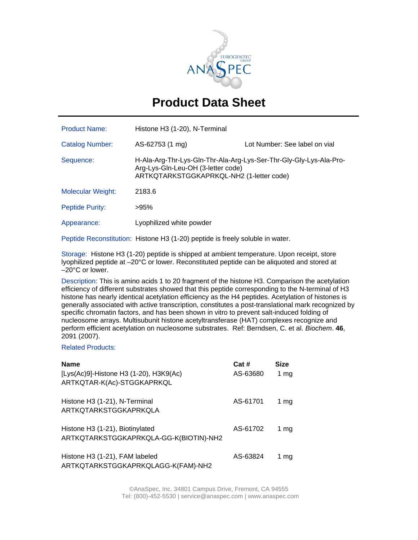

## **Product Data Sheet**

| <b>Product Name:</b>     | Histone H3 (1-20), N-Terminal                                                                                                                        |                               |
|--------------------------|------------------------------------------------------------------------------------------------------------------------------------------------------|-------------------------------|
| <b>Catalog Number:</b>   | AS-62753 (1 mg)                                                                                                                                      | Lot Number: See label on vial |
| Sequence:                | H-Ala-Arg-Thr-Lys-Gln-Thr-Ala-Arg-Lys-Ser-Thr-Gly-Gly-Lys-Ala-Pro-<br>Arg-Lys-Gln-Leu-OH (3-letter code)<br>ARTKQTARKSTGGKAPRKQL-NH2 (1-letter code) |                               |
| <b>Molecular Weight:</b> | 2183.6                                                                                                                                               |                               |
| Peptide Purity:          | >95%                                                                                                                                                 |                               |
| Appearance:              | Lyophilized white powder                                                                                                                             |                               |

Peptide Reconstitution:Histone H3 (1-20) peptide is freely soluble in water.

Storage: Histone H3 (1-20) peptide is shipped at ambient temperature. Upon receipt, store lyophilized peptide at –20°C or lower. Reconstituted peptide can be aliquoted and stored at –20°C or lower.

Description: This is amino acids 1 to 20 fragment of the histone H3. Comparison the acetylation efficiency of different substrates showed that this peptide corresponding to the N-terminal of H3 histone has nearly identical acetylation efficiency as the H4 peptides. Acetylation of histones is generally associated with active transcription, constitutes a post-translational mark recognized by specific chromatin factors, and has been shown in vitro to prevent salt-induced folding of nucleosome arrays. Multisubunit histone acetyltransferase (HAT) complexes recognize and perform efficient acetylation on nucleosome substrates. Ref: Berndsen, C. et al. *Biochem*. **46**, 2091 (2007).

## Related Products:

| <b>Name</b><br>[Lys(Ac)9]-Histone H3 (1-20), H3K9(Ac)<br>ARTKQTAR-K(Ac)-STGGKAPRKQL | Cat#<br>AS-63680 | <b>Size</b><br>1 mg |
|-------------------------------------------------------------------------------------|------------------|---------------------|
| Histone H3 (1-21), N-Terminal<br>ARTKQTARKSTGGKAPRKQLA                              | AS-61701         | 1 $mg$              |
| Histone H3 (1-21), Biotinylated<br>ARTKQTARKSTGGKAPRKQLA-GG-K(BIOTIN)-NH2           | AS-61702         | 1 mg                |
| Histone H3 (1-21), FAM labeled<br>ARTKQTARKSTGGKAPRKQLAGG-K(FAM)-NH2                | AS-63824         | 1 ma                |